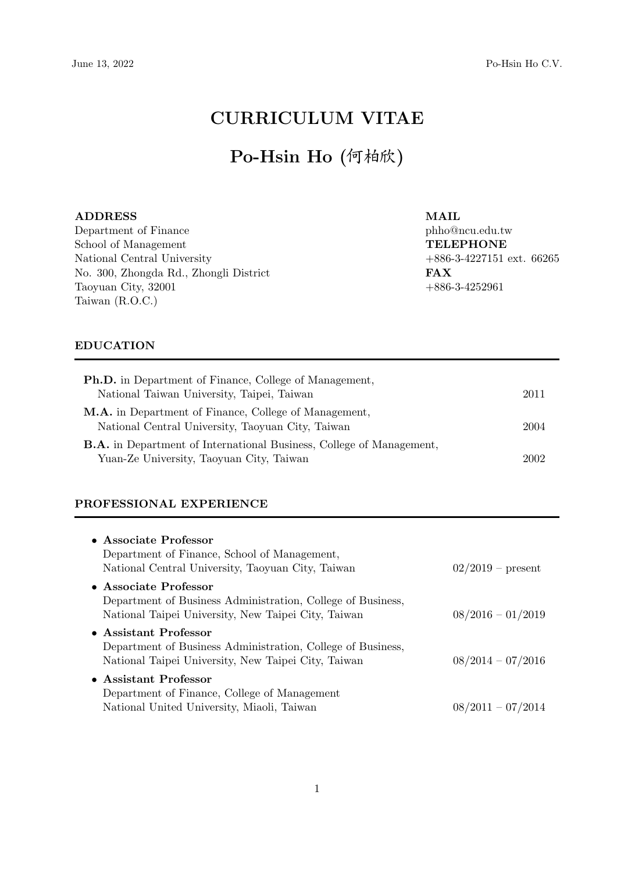# CURRICULUM VITAE

# Po-Hsin Ho (何柏欣)

ADDRESS Department of Finance School of Management National Central University No. 300, Zhongda Rd., Zhongli District Taoyuan City, 32001 Taiwan (R.O.C.)

MAIL phho@ncu.edu.tw TELEPHONE +886-3-4227151 ext. 66265 FAX  $+886-3-4252961$ 

# EDUCATION

| <b>Ph.D.</b> in Department of Finance, College of Management,                                                           |      |
|-------------------------------------------------------------------------------------------------------------------------|------|
| National Taiwan University, Taipei, Taiwan                                                                              | 2011 |
| <b>M.A.</b> in Department of Finance, College of Management,<br>National Central University, Taoyuan City, Taiwan       | 2004 |
| <b>B.A.</b> in Department of International Business, College of Management,<br>Yuan-Ze University, Taoyuan City, Taiwan | 2002 |

### PROFESSIONAL EXPERIENCE

| • Associate Professor                                       |                     |
|-------------------------------------------------------------|---------------------|
| Department of Finance, School of Management,                |                     |
| National Central University, Taoyuan City, Taiwan           | $02/2019$ – present |
| • Associate Professor                                       |                     |
| Department of Business Administration, College of Business, |                     |
| National Taipei University, New Taipei City, Taiwan         | $08/2016 - 01/2019$ |
| • Assistant Professor                                       |                     |
| Department of Business Administration, College of Business, |                     |
| National Taipei University, New Taipei City, Taiwan         | $08/2014 - 07/2016$ |
| • Assistant Professor                                       |                     |
| Department of Finance, College of Management                |                     |
| National United University, Miaoli, Taiwan                  | $08/2011 - 07/2014$ |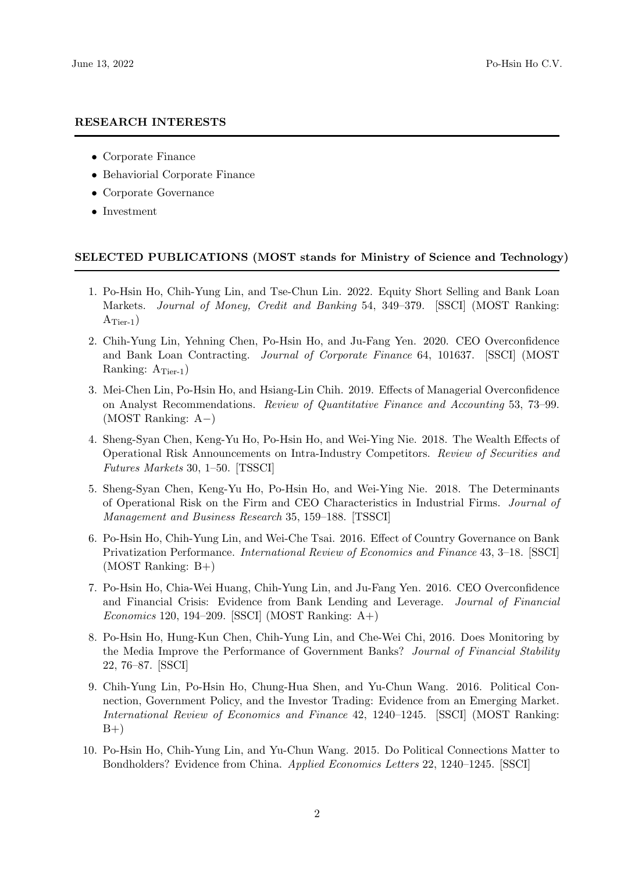#### RESEARCH INTERESTS

- Corporate Finance
- Behaviorial Corporate Finance
- Corporate Governance
- Investment

#### SELECTED PUBLICATIONS (MOST stands for Ministry of Science and Technology)

- 1. Po-Hsin Ho, Chih-Yung Lin, and Tse-Chun Lin. 2022. Equity Short Selling and Bank Loan Markets. Journal of Money, Credit and Banking 54, 349–379. [SSCI] (MOST Ranking:  $A_{Tier-1}$ )
- 2. Chih-Yung Lin, Yehning Chen, Po-Hsin Ho, and Ju-Fang Yen. 2020. CEO Overconfidence and Bank Loan Contracting. Journal of Corporate Finance 64, 101637. [SSCI] (MOST Ranking:  $A<sub>Tier-1</sub>$ )
- 3. Mei-Chen Lin, Po-Hsin Ho, and Hsiang-Lin Chih. 2019. Effects of Managerial Overconfidence on Analyst Recommendations. Review of Quantitative Finance and Accounting 53, 73–99. (MOST Ranking: A−)
- 4. Sheng-Syan Chen, Keng-Yu Ho, Po-Hsin Ho, and Wei-Ying Nie. 2018. The Wealth Effects of Operational Risk Announcements on Intra-Industry Competitors. Review of Securities and Futures Markets 30, 1–50. [TSSCI]
- 5. Sheng-Syan Chen, Keng-Yu Ho, Po-Hsin Ho, and Wei-Ying Nie. 2018. The Determinants of Operational Risk on the Firm and CEO Characteristics in Industrial Firms. Journal of Management and Business Research 35, 159–188. [TSSCI]
- 6. Po-Hsin Ho, Chih-Yung Lin, and Wei-Che Tsai. 2016. Effect of Country Governance on Bank Privatization Performance. International Review of Economics and Finance 43, 3–18. [SSCI]  $(MOST Ranking: B+)$
- 7. Po-Hsin Ho, Chia-Wei Huang, Chih-Yung Lin, and Ju-Fang Yen. 2016. CEO Overconfidence and Financial Crisis: Evidence from Bank Lending and Leverage. Journal of Financial Economics 120, 194–209. [SSCI] (MOST Ranking:  $A+$ )
- 8. Po-Hsin Ho, Hung-Kun Chen, Chih-Yung Lin, and Che-Wei Chi, 2016. Does Monitoring by the Media Improve the Performance of Government Banks? Journal of Financial Stability 22, 76–87. [SSCI]
- 9. Chih-Yung Lin, Po-Hsin Ho, Chung-Hua Shen, and Yu-Chun Wang. 2016. Political Connection, Government Policy, and the Investor Trading: Evidence from an Emerging Market. International Review of Economics and Finance 42, 1240–1245. [SSCI] (MOST Ranking:  $B+$
- 10. Po-Hsin Ho, Chih-Yung Lin, and Yu-Chun Wang. 2015. Do Political Connections Matter to Bondholders? Evidence from China. Applied Economics Letters 22, 1240–1245. [SSCI]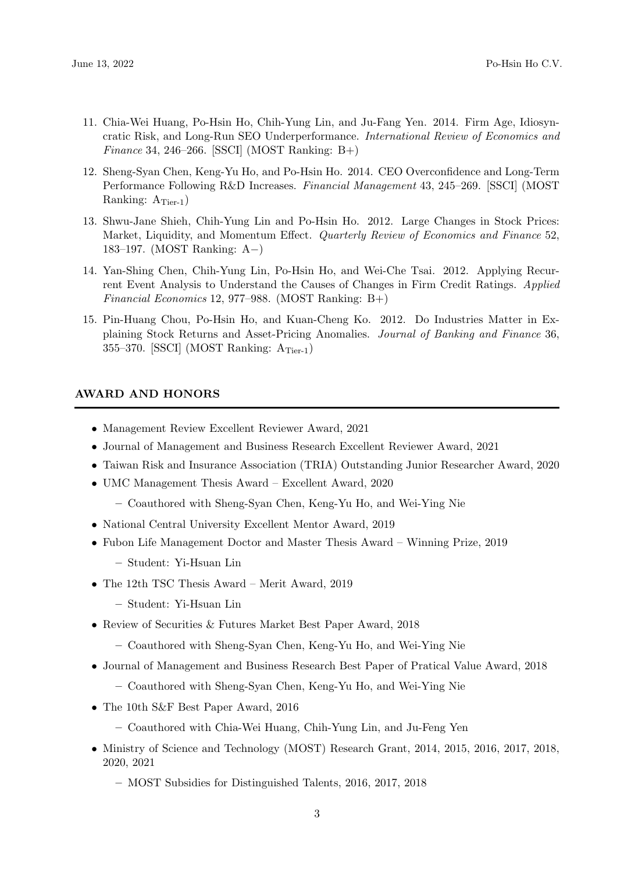- 11. Chia-Wei Huang, Po-Hsin Ho, Chih-Yung Lin, and Ju-Fang Yen. 2014. Firm Age, Idiosyncratic Risk, and Long-Run SEO Underperformance. International Review of Economics and Finance 34, 246–266. [SSCI] (MOST Ranking: B+)
- 12. Sheng-Syan Chen, Keng-Yu Ho, and Po-Hsin Ho. 2014. CEO Overconfidence and Long-Term Performance Following R&D Increases. Financial Management 43, 245–269. [SSCI] (MOST Ranking:  $A_{Tier-1}$ )
- 13. Shwu-Jane Shieh, Chih-Yung Lin and Po-Hsin Ho. 2012. Large Changes in Stock Prices: Market, Liquidity, and Momentum Effect. *Quarterly Review of Economics and Finance* 52. 183–197. (MOST Ranking: A−)
- 14. Yan-Shing Chen, Chih-Yung Lin, Po-Hsin Ho, and Wei-Che Tsai. 2012. Applying Recurrent Event Analysis to Understand the Causes of Changes in Firm Credit Ratings. Applied Financial Economics 12, 977–988. (MOST Ranking: B+)
- 15. Pin-Huang Chou, Po-Hsin Ho, and Kuan-Cheng Ko. 2012. Do Industries Matter in Explaining Stock Returns and Asset-Pricing Anomalies. Journal of Banking and Finance 36, 355–370. [SSCI] (MOST Ranking:  $A_{Tier-1}$ )

# AWARD AND HONORS

- Management Review Excellent Reviewer Award, 2021
- Journal of Management and Business Research Excellent Reviewer Award, 2021
- Taiwan Risk and Insurance Association (TRIA) Outstanding Junior Researcher Award, 2020
- UMC Management Thesis Award Excellent Award, 2020
	- Coauthored with Sheng-Syan Chen, Keng-Yu Ho, and Wei-Ying Nie
- National Central University Excellent Mentor Award, 2019
- Fubon Life Management Doctor and Master Thesis Award Winning Prize, 2019
	- Student: Yi-Hsuan Lin
- The 12th TSC Thesis Award Merit Award, 2019
	- Student: Yi-Hsuan Lin
- Review of Securities & Futures Market Best Paper Award, 2018
	- Coauthored with Sheng-Syan Chen, Keng-Yu Ho, and Wei-Ying Nie
- Journal of Management and Business Research Best Paper of Pratical Value Award, 2018
	- Coauthored with Sheng-Syan Chen, Keng-Yu Ho, and Wei-Ying Nie
- The 10th S&F Best Paper Award, 2016
	- Coauthored with Chia-Wei Huang, Chih-Yung Lin, and Ju-Feng Yen
- Ministry of Science and Technology (MOST) Research Grant, 2014, 2015, 2016, 2017, 2018, 2020, 2021
	- MOST Subsidies for Distinguished Talents, 2016, 2017, 2018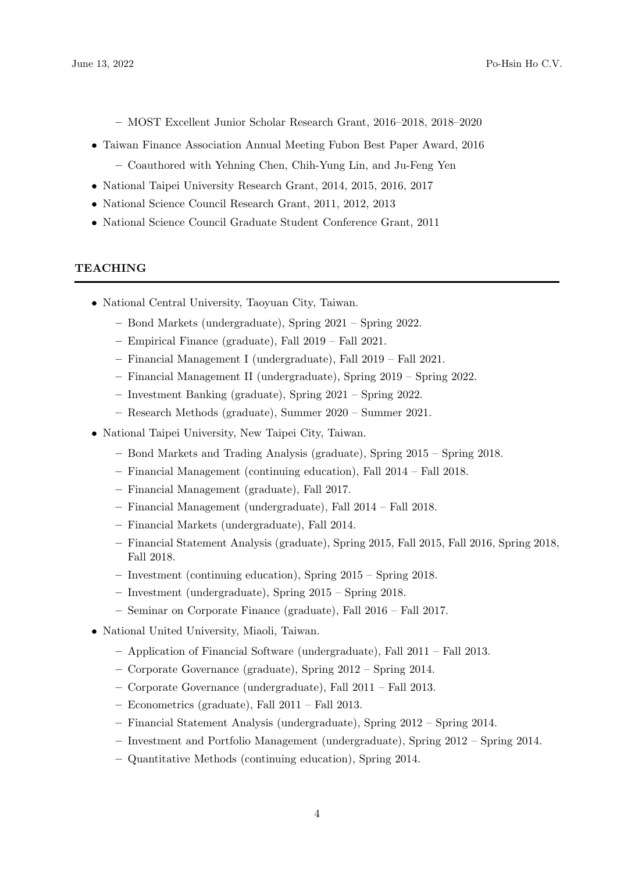– MOST Excellent Junior Scholar Research Grant, 2016–2018, 2018–2020

• Taiwan Finance Association Annual Meeting Fubon Best Paper Award, 2016

– Coauthored with Yehning Chen, Chih-Yung Lin, and Ju-Feng Yen

- National Taipei University Research Grant, 2014, 2015, 2016, 2017
- National Science Council Research Grant, 2011, 2012, 2013
- National Science Council Graduate Student Conference Grant, 2011

# **TEACHING**

- National Central University, Taoyuan City, Taiwan.
	- Bond Markets (undergraduate), Spring 2021 Spring 2022.
	- Empirical Finance (graduate), Fall 2019 Fall 2021.
	- Financial Management I (undergraduate), Fall 2019 Fall 2021.
	- Financial Management II (undergraduate), Spring 2019 Spring 2022.
	- Investment Banking (graduate), Spring 2021 Spring 2022.
	- Research Methods (graduate), Summer 2020 Summer 2021.
- National Taipei University, New Taipei City, Taiwan.
	- Bond Markets and Trading Analysis (graduate), Spring 2015 Spring 2018.
	- Financial Management (continuing education), Fall 2014 Fall 2018.
	- Financial Management (graduate), Fall 2017.
	- Financial Management (undergraduate), Fall 2014 Fall 2018.
	- Financial Markets (undergraduate), Fall 2014.
	- Financial Statement Analysis (graduate), Spring 2015, Fall 2015, Fall 2016, Spring 2018, Fall 2018.
	- Investment (continuing education), Spring 2015 Spring 2018.
	- Investment (undergraduate), Spring 2015 Spring 2018.
	- Seminar on Corporate Finance (graduate), Fall 2016 Fall 2017.
- National United University, Miaoli, Taiwan.
	- Application of Financial Software (undergraduate), Fall 2011 Fall 2013.
	- Corporate Governance (graduate), Spring 2012 Spring 2014.
	- Corporate Governance (undergraduate), Fall 2011 Fall 2013.
	- Econometrics (graduate), Fall 2011 Fall 2013.
	- Financial Statement Analysis (undergraduate), Spring 2012 Spring 2014.
	- Investment and Portfolio Management (undergraduate), Spring 2012 Spring 2014.
	- Quantitative Methods (continuing education), Spring 2014.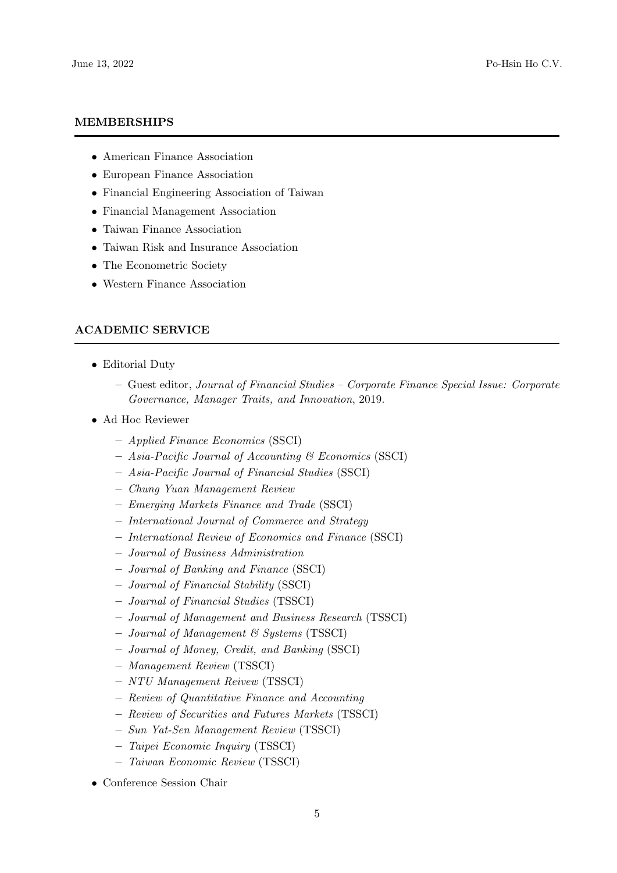#### MEMBERSHIPS

- American Finance Association
- European Finance Association
- Financial Engineering Association of Taiwan
- Financial Management Association
- Taiwan Finance Association
- Taiwan Risk and Insurance Association
- The Econometric Society
- Western Finance Association

# ACADEMIC SERVICE

- Editorial Duty
	- Guest editor, Journal of Financial Studies Corporate Finance Special Issue: Corporate Governance, Manager Traits, and Innovation, 2019.
- Ad Hoc Reviewer
	- Applied Finance Economics (SSCI)
	- Asia-Pacific Journal of Accounting & Economics (SSCI)
	- Asia-Pacific Journal of Financial Studies (SSCI)
	- Chung Yuan Management Review
	- Emerging Markets Finance and Trade (SSCI)
	- International Journal of Commerce and Strategy
	- International Review of Economics and Finance (SSCI)
	- Journal of Business Administration
	- Journal of Banking and Finance (SSCI)
	- Journal of Financial Stability (SSCI)
	- Journal of Financial Studies (TSSCI)
	- Journal of Management and Business Research (TSSCI)
	- $-$  Journal of Management  $\mathcal C$  Systems (TSSCI)
	- Journal of Money, Credit, and Banking (SSCI)
	- Management Review (TSSCI)
	- NTU Management Reivew (TSSCI)
	- Review of Quantitative Finance and Accounting
	- Review of Securities and Futures Markets (TSSCI)
	- Sun Yat-Sen Management Review (TSSCI)
	- Taipei Economic Inquiry (TSSCI)
	- Taiwan Economic Review (TSSCI)
- Conference Session Chair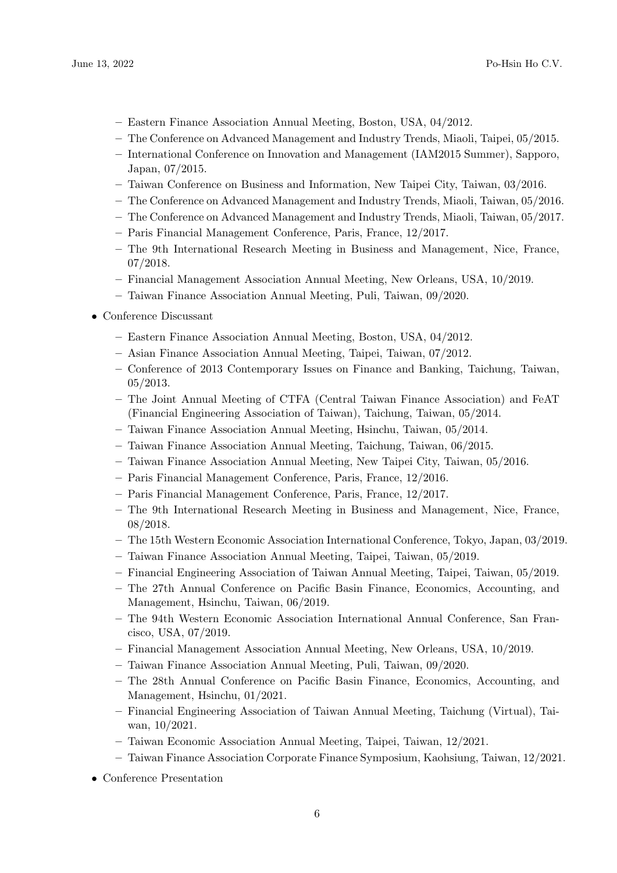- Eastern Finance Association Annual Meeting, Boston, USA, 04/2012.
- The Conference on Advanced Management and Industry Trends, Miaoli, Taipei, 05/2015.
- International Conference on Innovation and Management (IAM2015 Summer), Sapporo, Japan, 07/2015.
- Taiwan Conference on Business and Information, New Taipei City, Taiwan, 03/2016.
- The Conference on Advanced Management and Industry Trends, Miaoli, Taiwan, 05/2016.
- The Conference on Advanced Management and Industry Trends, Miaoli, Taiwan, 05/2017.
- Paris Financial Management Conference, Paris, France, 12/2017.
- The 9th International Research Meeting in Business and Management, Nice, France, 07/2018.
- Financial Management Association Annual Meeting, New Orleans, USA, 10/2019.
- Taiwan Finance Association Annual Meeting, Puli, Taiwan, 09/2020.
- Conference Discussant
	- Eastern Finance Association Annual Meeting, Boston, USA, 04/2012.
	- Asian Finance Association Annual Meeting, Taipei, Taiwan, 07/2012.
	- Conference of 2013 Contemporary Issues on Finance and Banking, Taichung, Taiwan, 05/2013.
	- The Joint Annual Meeting of CTFA (Central Taiwan Finance Association) and FeAT (Financial Engineering Association of Taiwan), Taichung, Taiwan, 05/2014.
	- Taiwan Finance Association Annual Meeting, Hsinchu, Taiwan, 05/2014.
	- Taiwan Finance Association Annual Meeting, Taichung, Taiwan, 06/2015.
	- Taiwan Finance Association Annual Meeting, New Taipei City, Taiwan, 05/2016.
	- Paris Financial Management Conference, Paris, France, 12/2016.
	- Paris Financial Management Conference, Paris, France, 12/2017.
	- The 9th International Research Meeting in Business and Management, Nice, France, 08/2018.
	- The 15th Western Economic Association International Conference, Tokyo, Japan, 03/2019.
	- Taiwan Finance Association Annual Meeting, Taipei, Taiwan, 05/2019.
	- Financial Engineering Association of Taiwan Annual Meeting, Taipei, Taiwan, 05/2019.
	- The 27th Annual Conference on Pacific Basin Finance, Economics, Accounting, and Management, Hsinchu, Taiwan, 06/2019.
	- The 94th Western Economic Association International Annual Conference, San Francisco, USA, 07/2019.
	- Financial Management Association Annual Meeting, New Orleans, USA, 10/2019.
	- Taiwan Finance Association Annual Meeting, Puli, Taiwan, 09/2020.
	- The 28th Annual Conference on Pacific Basin Finance, Economics, Accounting, and Management, Hsinchu, 01/2021.
	- Financial Engineering Association of Taiwan Annual Meeting, Taichung (Virtual), Taiwan, 10/2021.
	- Taiwan Economic Association Annual Meeting, Taipei, Taiwan, 12/2021.
	- Taiwan Finance Association Corporate Finance Symposium, Kaohsiung, Taiwan, 12/2021.
- Conference Presentation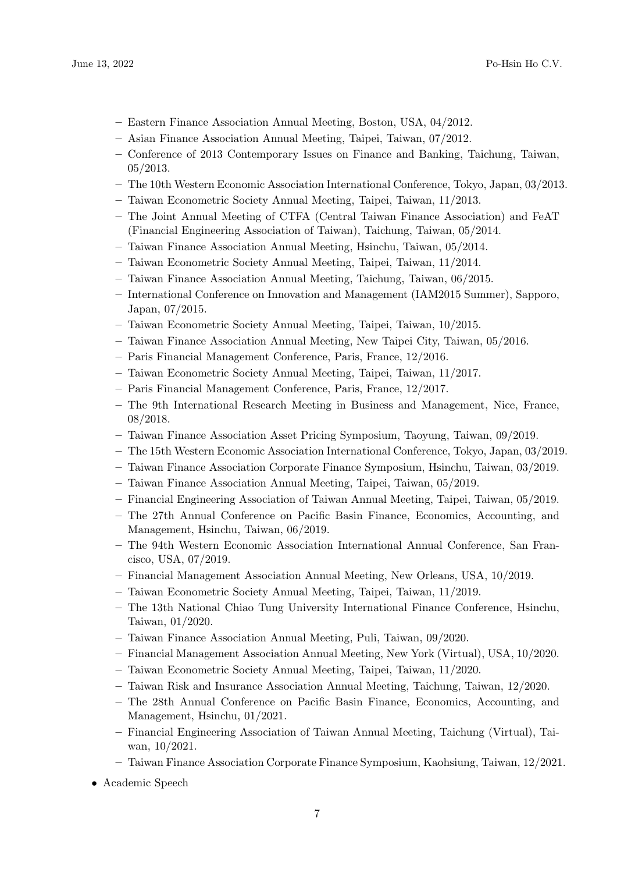- Eastern Finance Association Annual Meeting, Boston, USA, 04/2012.
- Asian Finance Association Annual Meeting, Taipei, Taiwan, 07/2012.
- Conference of 2013 Contemporary Issues on Finance and Banking, Taichung, Taiwan, 05/2013.
- The 10th Western Economic Association International Conference, Tokyo, Japan, 03/2013.
- Taiwan Econometric Society Annual Meeting, Taipei, Taiwan, 11/2013.
- The Joint Annual Meeting of CTFA (Central Taiwan Finance Association) and FeAT (Financial Engineering Association of Taiwan), Taichung, Taiwan, 05/2014.
- Taiwan Finance Association Annual Meeting, Hsinchu, Taiwan, 05/2014.
- Taiwan Econometric Society Annual Meeting, Taipei, Taiwan, 11/2014.
- Taiwan Finance Association Annual Meeting, Taichung, Taiwan, 06/2015.
- International Conference on Innovation and Management (IAM2015 Summer), Sapporo, Japan, 07/2015.
- Taiwan Econometric Society Annual Meeting, Taipei, Taiwan, 10/2015.
- Taiwan Finance Association Annual Meeting, New Taipei City, Taiwan, 05/2016.
- Paris Financial Management Conference, Paris, France, 12/2016.
- Taiwan Econometric Society Annual Meeting, Taipei, Taiwan, 11/2017.
- Paris Financial Management Conference, Paris, France, 12/2017.
- The 9th International Research Meeting in Business and Management, Nice, France, 08/2018.
- Taiwan Finance Association Asset Pricing Symposium, Taoyung, Taiwan, 09/2019.
- The 15th Western Economic Association International Conference, Tokyo, Japan, 03/2019.
- Taiwan Finance Association Corporate Finance Symposium, Hsinchu, Taiwan, 03/2019.
- Taiwan Finance Association Annual Meeting, Taipei, Taiwan, 05/2019.
- Financial Engineering Association of Taiwan Annual Meeting, Taipei, Taiwan, 05/2019.
- The 27th Annual Conference on Pacific Basin Finance, Economics, Accounting, and Management, Hsinchu, Taiwan, 06/2019.
- The 94th Western Economic Association International Annual Conference, San Francisco, USA, 07/2019.
- Financial Management Association Annual Meeting, New Orleans, USA, 10/2019.
- Taiwan Econometric Society Annual Meeting, Taipei, Taiwan, 11/2019.
- The 13th National Chiao Tung University International Finance Conference, Hsinchu, Taiwan, 01/2020.
- Taiwan Finance Association Annual Meeting, Puli, Taiwan, 09/2020.
- Financial Management Association Annual Meeting, New York (Virtual), USA, 10/2020.
- Taiwan Econometric Society Annual Meeting, Taipei, Taiwan, 11/2020.
- Taiwan Risk and Insurance Association Annual Meeting, Taichung, Taiwan, 12/2020.
- The 28th Annual Conference on Pacific Basin Finance, Economics, Accounting, and Management, Hsinchu, 01/2021.
- Financial Engineering Association of Taiwan Annual Meeting, Taichung (Virtual), Taiwan, 10/2021.
- Taiwan Finance Association Corporate Finance Symposium, Kaohsiung, Taiwan, 12/2021.
- Academic Speech